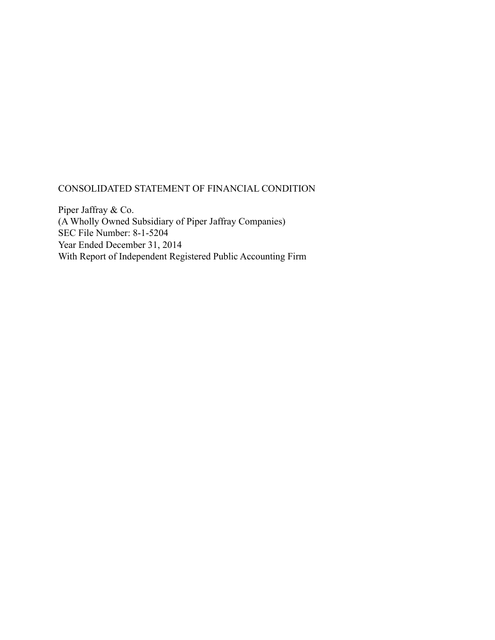# CONSOLIDATED STATEMENT OF FINANCIAL CONDITION

Piper Jaffray & Co. (A Wholly Owned Subsidiary of Piper Jaffray Companies) SEC File Number: 8-1-5204 Year Ended December 31, 2014 With Report of Independent Registered Public Accounting Firm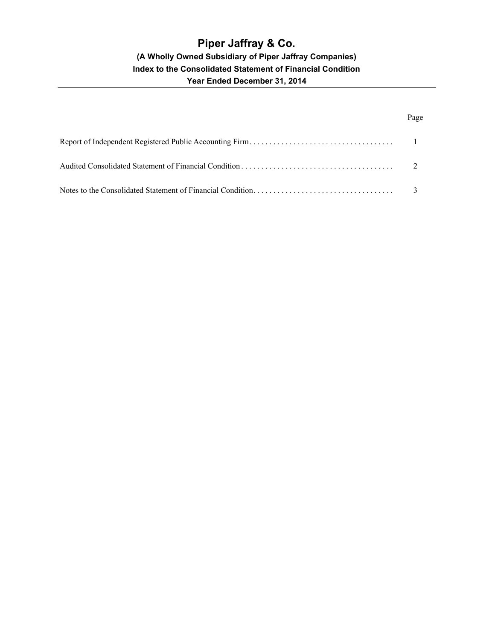# Page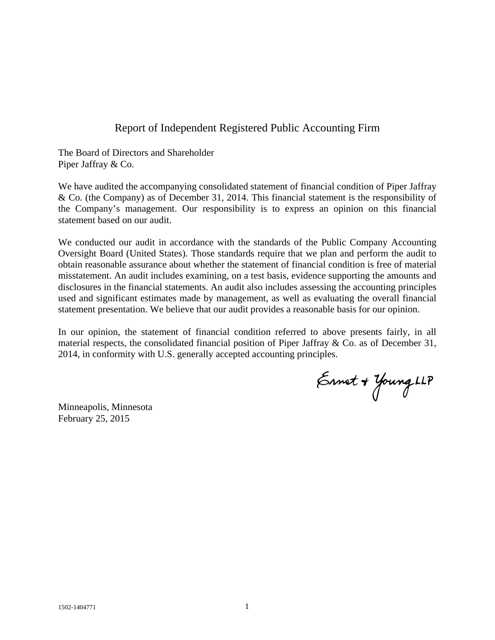# Report of Independent Registered Public Accounting Firm

The Board of Directors and Shareholder Piper Jaffray & Co.

We have audited the accompanying consolidated statement of financial condition of Piper Jaffray & Co. (the Company) as of December 31, 2014. This financial statement is the responsibility of the Company's management. Our responsibility is to express an opinion on this financial statement based on our audit.

We conducted our audit in accordance with the standards of the Public Company Accounting Oversight Board (United States). Those standards require that we plan and perform the audit to obtain reasonable assurance about whether the statement of financial condition is free of material misstatement. An audit includes examining, on a test basis, evidence supporting the amounts and disclosures in the financial statements. An audit also includes assessing the accounting principles used and significant estimates made by management, as well as evaluating the overall financial statement presentation. We believe that our audit provides a reasonable basis for our opinion.

In our opinion, the statement of financial condition referred to above presents fairly, in all material respects, the consolidated financial position of Piper Jaffray & Co. as of December 31, 2014, in conformity with U.S. generally accepted accounting principles.

Ennet + Young LLP

Minneapolis, Minnesota February 25, 2015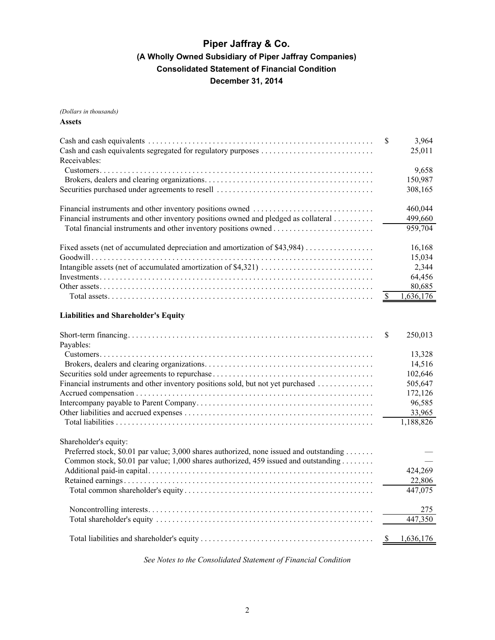*(Dollars in thousands)*

### **Assets**

|                                                                                         | <sup>\$</sup> | 3,964<br>25,011    |
|-----------------------------------------------------------------------------------------|---------------|--------------------|
| Receivables:                                                                            |               |                    |
|                                                                                         |               | 9,658              |
|                                                                                         |               | 150,987<br>308,165 |
|                                                                                         |               | 460,044            |
| Financial instruments and other inventory positions owned and pledged as collateral     |               | 499,660            |
|                                                                                         |               | 959,704            |
| Fixed assets (net of accumulated depreciation and amortization of \$43,984)             |               | 16,168             |
|                                                                                         |               | 15,034             |
|                                                                                         |               | 2,344              |
|                                                                                         |               | 64,456             |
|                                                                                         |               | 80,685             |
|                                                                                         | -S            | 1,636,176          |
| <b>Liabilities and Shareholder's Equity</b>                                             |               |                    |
|                                                                                         | S             | 250,013            |
| Payables:                                                                               |               |                    |
|                                                                                         |               | 13,328             |
|                                                                                         |               | 14,516             |
|                                                                                         |               | 102,646            |
| Financial instruments and other inventory positions sold, but not yet purchased         |               | 505,647            |
|                                                                                         |               | 172,126            |
|                                                                                         |               | 96,585             |
|                                                                                         |               | 33,965             |
|                                                                                         |               | 1,188,826          |
| Shareholder's equity:                                                                   |               |                    |
| Preferred stock, \$0.01 par value; 3,000 shares authorized, none issued and outstanding |               |                    |
| Common stock, \$0.01 par value; 1,000 shares authorized, 459 issued and outstanding     |               |                    |
|                                                                                         |               | 424,269            |
|                                                                                         |               | 22,806             |

| 447.075 |
|---------|
| 275     |
|         |
|         |

*See Notes to the Consolidated Statement of Financial Condition*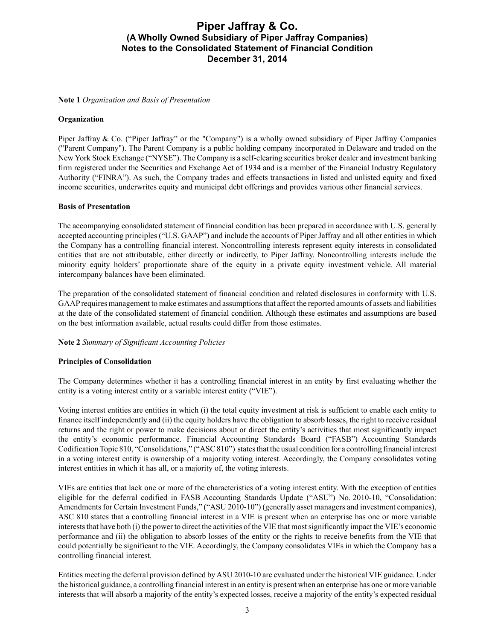### **Note 1** *Organization and Basis of Presentation*

### **Organization**

Piper Jaffray & Co. ("Piper Jaffray" or the "Company") is a wholly owned subsidiary of Piper Jaffray Companies ("Parent Company"). The Parent Company is a public holding company incorporated in Delaware and traded on the New York Stock Exchange ("NYSE"). The Company is a self-clearing securities broker dealer and investment banking firm registered under the Securities and Exchange Act of 1934 and is a member of the Financial Industry Regulatory Authority ("FINRA"). As such, the Company trades and effects transactions in listed and unlisted equity and fixed income securities, underwrites equity and municipal debt offerings and provides various other financial services.

### **Basis of Presentation**

The accompanying consolidated statement of financial condition has been prepared in accordance with U.S. generally accepted accounting principles ("U.S. GAAP") and include the accounts of Piper Jaffray and all other entities in which the Company has a controlling financial interest. Noncontrolling interests represent equity interests in consolidated entities that are not attributable, either directly or indirectly, to Piper Jaffray. Noncontrolling interests include the minority equity holders' proportionate share of the equity in a private equity investment vehicle. All material intercompany balances have been eliminated.

The preparation of the consolidated statement of financial condition and related disclosures in conformity with U.S. GAAPrequires management to make estimates and assumptions that affect the reported amounts of assets and liabilities at the date of the consolidated statement of financial condition. Although these estimates and assumptions are based on the best information available, actual results could differ from those estimates.

### **Note 2** *Summary of Significant Accounting Policies*

### **Principles of Consolidation**

The Company determines whether it has a controlling financial interest in an entity by first evaluating whether the entity is a voting interest entity or a variable interest entity ("VIE").

Voting interest entities are entities in which (i) the total equity investment at risk is sufficient to enable each entity to finance itself independently and (ii) the equity holders have the obligation to absorb losses, the right to receive residual returns and the right or power to make decisions about or direct the entity's activities that most significantly impact the entity's economic performance. Financial Accounting Standards Board ("FASB") Accounting Standards Codification Topic 810, "Consolidations," ("ASC 810") states that the usual condition for a controlling financial interest in a voting interest entity is ownership of a majority voting interest. Accordingly, the Company consolidates voting interest entities in which it has all, or a majority of, the voting interests.

VIEs are entities that lack one or more of the characteristics of a voting interest entity. With the exception of entities eligible for the deferral codified in FASB Accounting Standards Update ("ASU") No. 2010-10, "Consolidation: Amendments for Certain Investment Funds," ("ASU 2010-10") (generally asset managers and investment companies), ASC 810 states that a controlling financial interest in a VIE is present when an enterprise has one or more variable interests that have both (i) the power to direct the activities of the VIE that most significantly impact the VIE's economic performance and (ii) the obligation to absorb losses of the entity or the rights to receive benefits from the VIE that could potentially be significant to the VIE. Accordingly, the Company consolidates VIEs in which the Company has a controlling financial interest.

Entities meeting the deferral provision defined by ASU 2010-10 are evaluated under the historical VIE guidance. Under the historical guidance, a controlling financial interest in an entity is present when an enterprise has one or more variable interests that will absorb a majority of the entity's expected losses, receive a majority of the entity's expected residual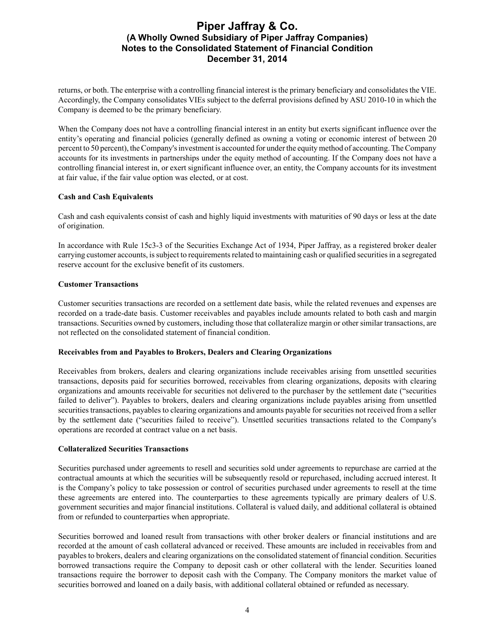returns, or both. The enterprise with a controlling financial interest is the primary beneficiary and consolidates the VIE. Accordingly, the Company consolidates VIEs subject to the deferral provisions defined by ASU 2010-10 in which the Company is deemed to be the primary beneficiary.

When the Company does not have a controlling financial interest in an entity but exerts significant influence over the entity's operating and financial policies (generally defined as owning a voting or economic interest of between 20 percent to 50 percent), the Company's investment is accounted for under the equity method of accounting. The Company accounts for its investments in partnerships under the equity method of accounting. If the Company does not have a controlling financial interest in, or exert significant influence over, an entity, the Company accounts for its investment at fair value, if the fair value option was elected, or at cost.

### **Cash and Cash Equivalents**

Cash and cash equivalents consist of cash and highly liquid investments with maturities of 90 days or less at the date of origination.

In accordance with Rule 15c3-3 of the Securities Exchange Act of 1934, Piper Jaffray, as a registered broker dealer carrying customer accounts, is subject to requirements related to maintaining cash or qualified securities in a segregated reserve account for the exclusive benefit of its customers.

### **Customer Transactions**

Customer securities transactions are recorded on a settlement date basis, while the related revenues and expenses are recorded on a trade-date basis. Customer receivables and payables include amounts related to both cash and margin transactions. Securities owned by customers, including those that collateralize margin or other similar transactions, are not reflected on the consolidated statement of financial condition.

### **Receivables from and Payables to Brokers, Dealers and Clearing Organizations**

Receivables from brokers, dealers and clearing organizations include receivables arising from unsettled securities transactions, deposits paid for securities borrowed, receivables from clearing organizations, deposits with clearing organizations and amounts receivable for securities not delivered to the purchaser by the settlement date ("securities failed to deliver"). Payables to brokers, dealers and clearing organizations include payables arising from unsettled securities transactions, payables to clearing organizations and amounts payable for securities not received from a seller by the settlement date ("securities failed to receive"). Unsettled securities transactions related to the Company's operations are recorded at contract value on a net basis.

### **Collateralized Securities Transactions**

Securities purchased under agreements to resell and securities sold under agreements to repurchase are carried at the contractual amounts at which the securities will be subsequently resold or repurchased, including accrued interest. It is the Company's policy to take possession or control of securities purchased under agreements to resell at the time these agreements are entered into. The counterparties to these agreements typically are primary dealers of U.S. government securities and major financial institutions. Collateral is valued daily, and additional collateral is obtained from or refunded to counterparties when appropriate.

Securities borrowed and loaned result from transactions with other broker dealers or financial institutions and are recorded at the amount of cash collateral advanced or received. These amounts are included in receivables from and payables to brokers, dealers and clearing organizations on the consolidated statement of financial condition. Securities borrowed transactions require the Company to deposit cash or other collateral with the lender. Securities loaned transactions require the borrower to deposit cash with the Company. The Company monitors the market value of securities borrowed and loaned on a daily basis, with additional collateral obtained or refunded as necessary.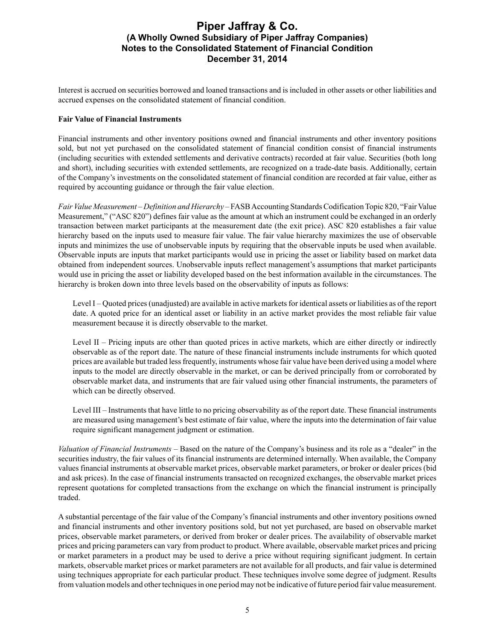Interest is accrued on securities borrowed and loaned transactions and is included in other assets or other liabilities and accrued expenses on the consolidated statement of financial condition.

### **Fair Value of Financial Instruments**

Financial instruments and other inventory positions owned and financial instruments and other inventory positions sold, but not yet purchased on the consolidated statement of financial condition consist of financial instruments (including securities with extended settlements and derivative contracts) recorded at fair value. Securities (both long and short), including securities with extended settlements, are recognized on a trade-date basis. Additionally, certain of the Company's investments on the consolidated statement of financial condition are recorded at fair value, either as required by accounting guidance or through the fair value election.

*Fair Value Measurement* – *Definition and Hierarchy* – FASB Accounting Standards Codification Topic 820, "Fair Value Measurement," ("ASC 820") defines fair value as the amount at which an instrument could be exchanged in an orderly transaction between market participants at the measurement date (the exit price). ASC 820 establishes a fair value hierarchy based on the inputs used to measure fair value. The fair value hierarchy maximizes the use of observable inputs and minimizes the use of unobservable inputs by requiring that the observable inputs be used when available. Observable inputs are inputs that market participants would use in pricing the asset or liability based on market data obtained from independent sources. Unobservable inputs reflect management's assumptions that market participants would use in pricing the asset or liability developed based on the best information available in the circumstances. The hierarchy is broken down into three levels based on the observability of inputs as follows:

Level I – Quoted prices (unadjusted) are available in active markets for identical assets or liabilities as of the report date. A quoted price for an identical asset or liability in an active market provides the most reliable fair value measurement because it is directly observable to the market.

Level II – Pricing inputs are other than quoted prices in active markets, which are either directly or indirectly observable as of the report date. The nature of these financial instruments include instruments for which quoted prices are available but traded less frequently, instruments whose fair value have been derived using a model where inputs to the model are directly observable in the market, or can be derived principally from or corroborated by observable market data, and instruments that are fair valued using other financial instruments, the parameters of which can be directly observed.

Level III – Instruments that have little to no pricing observability as of the report date. These financial instruments are measured using management's best estimate of fair value, where the inputs into the determination of fair value require significant management judgment or estimation.

*Valuation of Financial Instruments* – Based on the nature of the Company's business and its role as a "dealer" in the securities industry, the fair values of its financial instruments are determined internally. When available, the Company values financial instruments at observable market prices, observable market parameters, or broker or dealer prices (bid and ask prices). In the case of financial instruments transacted on recognized exchanges, the observable market prices represent quotations for completed transactions from the exchange on which the financial instrument is principally traded.

A substantial percentage of the fair value of the Company's financial instruments and other inventory positions owned and financial instruments and other inventory positions sold, but not yet purchased, are based on observable market prices, observable market parameters, or derived from broker or dealer prices. The availability of observable market prices and pricing parameters can vary from product to product. Where available, observable market prices and pricing or market parameters in a product may be used to derive a price without requiring significant judgment. In certain markets, observable market prices or market parameters are not available for all products, and fair value is determined using techniques appropriate for each particular product. These techniques involve some degree of judgment. Results from valuation models and other techniques in one period may not be indicative of future period fair value measurement.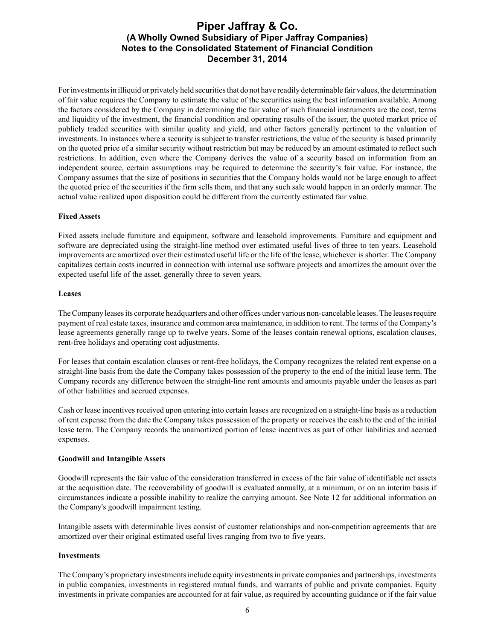For investments in illiquid or privately held securities that do not have readily determinable fair values, the determination of fair value requires the Company to estimate the value of the securities using the best information available. Among the factors considered by the Company in determining the fair value of such financial instruments are the cost, terms and liquidity of the investment, the financial condition and operating results of the issuer, the quoted market price of publicly traded securities with similar quality and yield, and other factors generally pertinent to the valuation of investments. In instances where a security is subject to transfer restrictions, the value of the security is based primarily on the quoted price of a similar security without restriction but may be reduced by an amount estimated to reflect such restrictions. In addition, even where the Company derives the value of a security based on information from an independent source, certain assumptions may be required to determine the security's fair value. For instance, the Company assumes that the size of positions in securities that the Company holds would not be large enough to affect the quoted price of the securities if the firm sells them, and that any such sale would happen in an orderly manner. The actual value realized upon disposition could be different from the currently estimated fair value.

### **Fixed Assets**

Fixed assets include furniture and equipment, software and leasehold improvements. Furniture and equipment and software are depreciated using the straight-line method over estimated useful lives of three to ten years. Leasehold improvements are amortized over their estimated useful life or the life of the lease, whichever is shorter. The Company capitalizes certain costs incurred in connection with internal use software projects and amortizes the amount over the expected useful life of the asset, generally three to seven years.

### **Leases**

The Company leases its corporate headquarters and other offices under various non-cancelable leases. The leases require payment of real estate taxes, insurance and common area maintenance, in addition to rent. The terms of the Company's lease agreements generally range up to twelve years. Some of the leases contain renewal options, escalation clauses, rent-free holidays and operating cost adjustments.

For leases that contain escalation clauses or rent-free holidays, the Company recognizes the related rent expense on a straight-line basis from the date the Company takes possession of the property to the end of the initial lease term. The Company records any difference between the straight-line rent amounts and amounts payable under the leases as part of other liabilities and accrued expenses.

Cash or lease incentives received upon entering into certain leases are recognized on a straight-line basis as a reduction of rent expense from the date the Company takes possession of the property or receives the cash to the end of the initial lease term. The Company records the unamortized portion of lease incentives as part of other liabilities and accrued expenses.

### **Goodwill and Intangible Assets**

Goodwill represents the fair value of the consideration transferred in excess of the fair value of identifiable net assets at the acquisition date. The recoverability of goodwill is evaluated annually, at a minimum, or on an interim basis if circumstances indicate a possible inability to realize the carrying amount. See Note 12 for additional information on the Company's goodwill impairment testing.

Intangible assets with determinable lives consist of customer relationships and non-competition agreements that are amortized over their original estimated useful lives ranging from two to five years.

### **Investments**

The Company's proprietary investments include equity investments in private companies and partnerships, investments in public companies, investments in registered mutual funds, and warrants of public and private companies. Equity investments in private companies are accounted for at fair value, as required by accounting guidance or if the fair value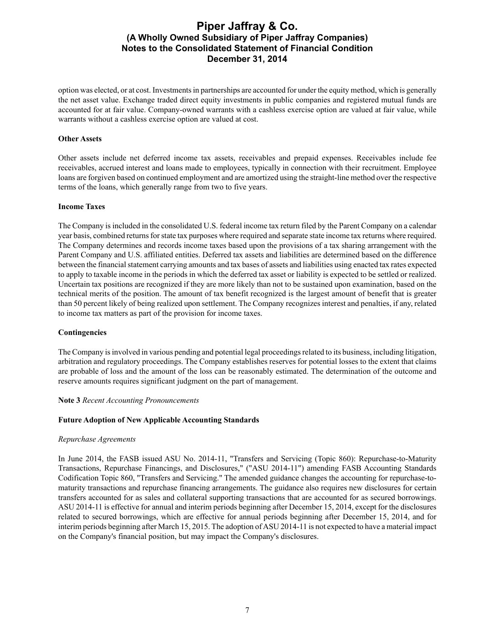option was elected, or at cost. Investments in partnerships are accounted for under the equity method, which is generally the net asset value. Exchange traded direct equity investments in public companies and registered mutual funds are accounted for at fair value. Company-owned warrants with a cashless exercise option are valued at fair value, while warrants without a cashless exercise option are valued at cost.

### **Other Assets**

Other assets include net deferred income tax assets, receivables and prepaid expenses. Receivables include fee receivables, accrued interest and loans made to employees, typically in connection with their recruitment. Employee loans are forgiven based on continued employment and are amortized using the straight-line method over the respective terms of the loans, which generally range from two to five years.

### **Income Taxes**

The Company is included in the consolidated U.S. federal income tax return filed by the Parent Company on a calendar year basis, combined returns for state tax purposes where required and separate state income tax returns where required. The Company determines and records income taxes based upon the provisions of a tax sharing arrangement with the Parent Company and U.S. affiliated entities. Deferred tax assets and liabilities are determined based on the difference between the financial statement carrying amounts and tax bases of assets and liabilities using enacted tax rates expected to apply to taxable income in the periods in which the deferred tax asset or liability is expected to be settled or realized. Uncertain tax positions are recognized if they are more likely than not to be sustained upon examination, based on the technical merits of the position. The amount of tax benefit recognized is the largest amount of benefit that is greater than 50 percent likely of being realized upon settlement. The Company recognizes interest and penalties, if any, related to income tax matters as part of the provision for income taxes.

#### **Contingencies**

The Company is involved in various pending and potential legal proceedings related to its business, including litigation, arbitration and regulatory proceedings. The Company establishes reserves for potential losses to the extent that claims are probable of loss and the amount of the loss can be reasonably estimated. The determination of the outcome and reserve amounts requires significant judgment on the part of management.

#### **Note 3** *Recent Accounting Pronouncements*

### **Future Adoption of New Applicable Accounting Standards**

#### *Repurchase Agreements*

In June 2014, the FASB issued ASU No. 2014-11, "Transfers and Servicing (Topic 860): Repurchase-to-Maturity Transactions, Repurchase Financings, and Disclosures," ("ASU 2014-11") amending FASB Accounting Standards Codification Topic 860, "Transfers and Servicing." The amended guidance changes the accounting for repurchase-tomaturity transactions and repurchase financing arrangements. The guidance also requires new disclosures for certain transfers accounted for as sales and collateral supporting transactions that are accounted for as secured borrowings. ASU 2014-11 is effective for annual and interim periods beginning after December 15, 2014, except for the disclosures related to secured borrowings, which are effective for annual periods beginning after December 15, 2014, and for interim periods beginning after March 15, 2015. The adoption of ASU 2014-11 is not expected to have a material impact on the Company's financial position, but may impact the Company's disclosures.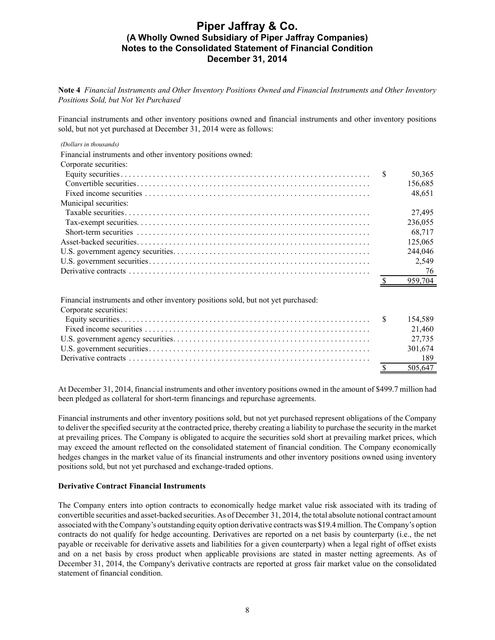**Note 4** *Financial Instruments and Other Inventory Positions Owned and Financial Instruments and Other Inventory Positions Sold, but Not Yet Purchased*

Financial instruments and other inventory positions owned and financial instruments and other inventory positions sold, but not yet purchased at December 31, 2014 were as follows:

|  | (Dollars in thousands) |
|--|------------------------|
|  |                        |

| Financial instruments and other inventory positions owned: |         |
|------------------------------------------------------------|---------|
| Corporate securities:                                      |         |
|                                                            | 50,365  |
|                                                            | 156,685 |
|                                                            | 48,651  |
| Municipal securities:                                      |         |
|                                                            | 27,495  |
|                                                            | 236,055 |
|                                                            | 68.717  |
|                                                            | 125,065 |
|                                                            | 244,046 |
|                                                            | 2,549   |
|                                                            | 76      |
|                                                            | 959.704 |

Financial instruments and other inventory positions sold, but not yet purchased:

Corporate securities:

|  | 21.460  |
|--|---------|
|  | 27.735  |
|  | 301.674 |
|  |         |
|  | 505.647 |

At December 31, 2014, financial instruments and other inventory positions owned in the amount of \$499.7 million had been pledged as collateral for short-term financings and repurchase agreements.

Financial instruments and other inventory positions sold, but not yet purchased represent obligations of the Company to deliver the specified security at the contracted price, thereby creating a liability to purchase the security in the market at prevailing prices. The Company is obligated to acquire the securities sold short at prevailing market prices, which may exceed the amount reflected on the consolidated statement of financial condition. The Company economically hedges changes in the market value of its financial instruments and other inventory positions owned using inventory positions sold, but not yet purchased and exchange-traded options.

#### **Derivative Contract Financial Instruments**

The Company enters into option contracts to economically hedge market value risk associated with its trading of convertible securities and asset-backed securities. As of December 31, 2014, the total absolute notional contract amount associated with the Company's outstanding equity option derivative contracts was \$19.4 million. The Company's option contracts do not qualify for hedge accounting. Derivatives are reported on a net basis by counterparty (i.e., the net payable or receivable for derivative assets and liabilities for a given counterparty) when a legal right of offset exists and on a net basis by cross product when applicable provisions are stated in master netting agreements. As of December 31, 2014, the Company's derivative contracts are reported at gross fair market value on the consolidated statement of financial condition.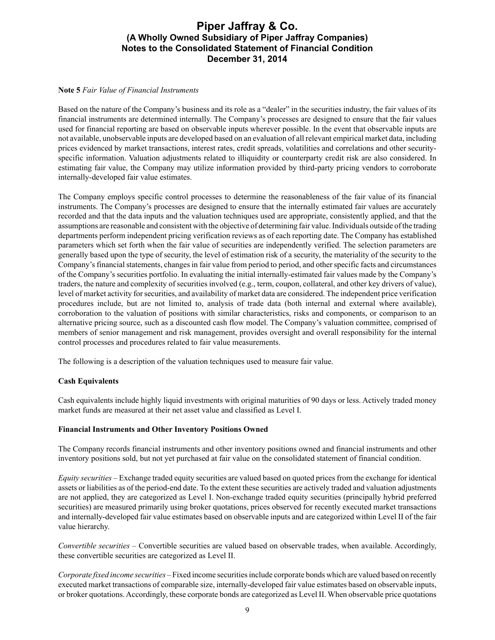### **Note 5** *Fair Value of Financial Instruments*

Based on the nature of the Company's business and its role as a "dealer" in the securities industry, the fair values of its financial instruments are determined internally. The Company's processes are designed to ensure that the fair values used for financial reporting are based on observable inputs wherever possible. In the event that observable inputs are not available, unobservable inputs are developed based on an evaluation of all relevant empirical market data, including prices evidenced by market transactions, interest rates, credit spreads, volatilities and correlations and other securityspecific information. Valuation adjustments related to illiquidity or counterparty credit risk are also considered. In estimating fair value, the Company may utilize information provided by third-party pricing vendors to corroborate internally-developed fair value estimates.

The Company employs specific control processes to determine the reasonableness of the fair value of its financial instruments. The Company's processes are designed to ensure that the internally estimated fair values are accurately recorded and that the data inputs and the valuation techniques used are appropriate, consistently applied, and that the assumptions are reasonable and consistent with the objective of determining fair value. Individuals outside of the trading departments perform independent pricing verification reviews as of each reporting date. The Company has established parameters which set forth when the fair value of securities are independently verified. The selection parameters are generally based upon the type of security, the level of estimation risk of a security, the materiality of the security to the Company's financial statements, changes in fair value from period to period, and other specific facts and circumstances of the Company's securities portfolio. In evaluating the initial internally-estimated fair values made by the Company's traders, the nature and complexity of securities involved (e.g., term, coupon, collateral, and other key drivers of value), level of market activity for securities, and availability of market data are considered. The independent price verification procedures include, but are not limited to, analysis of trade data (both internal and external where available), corroboration to the valuation of positions with similar characteristics, risks and components, or comparison to an alternative pricing source, such as a discounted cash flow model. The Company's valuation committee, comprised of members of senior management and risk management, provides oversight and overall responsibility for the internal control processes and procedures related to fair value measurements.

The following is a description of the valuation techniques used to measure fair value.

### **Cash Equivalents**

Cash equivalents include highly liquid investments with original maturities of 90 days or less. Actively traded money market funds are measured at their net asset value and classified as Level I.

### **Financial Instruments and Other Inventory Positions Owned**

The Company records financial instruments and other inventory positions owned and financial instruments and other inventory positions sold, but not yet purchased at fair value on the consolidated statement of financial condition.

*Equity securities –* Exchange traded equity securities are valued based on quoted prices from the exchange for identical assets or liabilities as of the period-end date. To the extent these securities are actively traded and valuation adjustments are not applied, they are categorized as Level I. Non-exchange traded equity securities (principally hybrid preferred securities) are measured primarily using broker quotations, prices observed for recently executed market transactions and internally-developed fair value estimates based on observable inputs and are categorized within Level II of the fair value hierarchy.

*Convertible securities –* Convertible securities are valued based on observable trades, when available. Accordingly, these convertible securities are categorized as Level II.

*Corporate fixed income securities –*Fixed income securities include corporate bonds which are valued based on recently executed market transactions of comparable size, internally-developed fair value estimates based on observable inputs, or broker quotations. Accordingly, these corporate bonds are categorized as Level II. When observable price quotations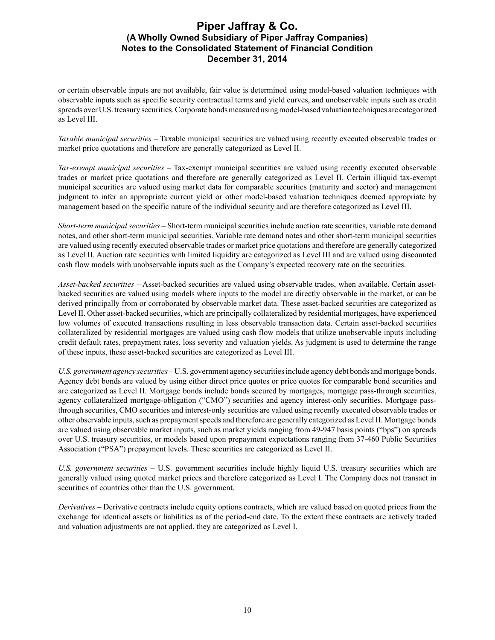or certain observable inputs are not available, fair value is determined using model-based valuation techniques with observable inputs such as specific security contractual terms and yield curves, and unobservable inputs such as credit spreads over U.S. treasury securities. Corporate bonds measured using model-based valuation techniques are categorized as Level III.

*Taxable municipal securities –* Taxable municipal securities are valued using recently executed observable trades or market price quotations and therefore are generally categorized as Level II.

*Tax-exempt municipal securities –* Tax-exempt municipal securities are valued using recently executed observable trades or market price quotations and therefore are generally categorized as Level II. Certain illiquid tax-exempt municipal securities are valued using market data for comparable securities (maturity and sector) and management judgment to infer an appropriate current yield or other model-based valuation techniques deemed appropriate by management based on the specific nature of the individual security and are therefore categorized as Level III.

*Short-term municipal securities –* Short-term municipal securities include auction rate securities, variable rate demand notes, and other short-term municipal securities. Variable rate demand notes and other short-term municipal securities are valued using recently executed observable trades or market price quotations and therefore are generally categorized as Level II. Auction rate securities with limited liquidity are categorized as Level III and are valued using discounted cash flow models with unobservable inputs such as the Company's expected recovery rate on the securities.

*Asset-backed securities –* Asset-backed securities are valued using observable trades, when available. Certain assetbacked securities are valued using models where inputs to the model are directly observable in the market, or can be derived principally from or corroborated by observable market data. These asset-backed securities are categorized as Level II. Other asset-backed securities, which are principally collateralized by residential mortgages, have experienced low volumes of executed transactions resulting in less observable transaction data. Certain asset-backed securities collateralized by residential mortgages are valued using cash flow models that utilize unobservable inputs including credit default rates, prepayment rates, loss severity and valuation yields. As judgment is used to determine the range of these inputs, these asset-backed securities are categorized as Level III.

*U.S. government agency securities –* U.S. government agency securities include agency debt bonds and mortgage bonds. Agency debt bonds are valued by using either direct price quotes or price quotes for comparable bond securities and are categorized as Level II. Mortgage bonds include bonds secured by mortgages, mortgage pass-through securities, agency collateralized mortgage-obligation ("CMO") securities and agency interest-only securities. Mortgage passthrough securities, CMO securities and interest-only securities are valued using recently executed observable trades or other observable inputs, such as prepayment speeds and therefore are generally categorized as Level II. Mortgage bonds are valued using observable market inputs, such as market yields ranging from 49-947 basis points ("bps") on spreads over U.S. treasury securities, or models based upon prepayment expectations ranging from 37-460 Public Securities Association ("PSA") prepayment levels. These securities are categorized as Level II.

*U.S. government securities –* U.S. government securities include highly liquid U.S. treasury securities which are generally valued using quoted market prices and therefore categorized as Level I. The Company does not transact in securities of countries other than the U.S. government.

*Derivatives –* Derivative contracts include equity options contracts, which are valued based on quoted prices from the exchange for identical assets or liabilities as of the period-end date. To the extent these contracts are actively traded and valuation adjustments are not applied, they are categorized as Level I.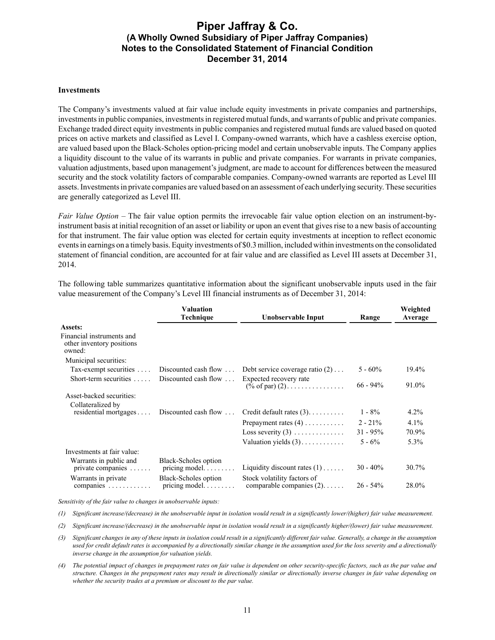#### **Investments**

The Company's investments valued at fair value include equity investments in private companies and partnerships, investments in public companies, investments in registered mutual funds, and warrants of public and private companies. Exchange traded direct equity investments in public companies and registered mutual funds are valued based on quoted prices on active markets and classified as Level I. Company-owned warrants, which have a cashless exercise option, are valued based upon the Black-Scholes option-pricing model and certain unobservable inputs. The Company applies a liquidity discount to the value of its warrants in public and private companies. For warrants in private companies, valuation adjustments, based upon management's judgment, are made to account for differences between the measured security and the stock volatility factors of comparable companies. Company-owned warrants are reported as Level III assets. Investments in private companies are valued based on an assessment of each underlying security. These securities are generally categorized as Level III.

*Fair Value Option –* The fair value option permits the irrevocable fair value option election on an instrument-byinstrument basis at initial recognition of an asset or liability or upon an event that gives rise to a new basis of accounting for that instrument. The fair value option was elected for certain equity investments at inception to reflect economic events in earnings on a timely basis. Equity investments of \$0.3 million, included within investments on the consolidated statement of financial condition, are accounted for at fair value and are classified as Level III assets at December 31, 2014.

| Valuation<br>Technique<br>Unobservable Input                     |                                                      | Range                                                         | Weighted<br>Average |       |
|------------------------------------------------------------------|------------------------------------------------------|---------------------------------------------------------------|---------------------|-------|
| Assets:                                                          |                                                      |                                                               |                     |       |
| Financial instruments and<br>other inventory positions<br>owned: |                                                      |                                                               |                     |       |
| Municipal securities:                                            |                                                      |                                                               |                     |       |
| Tax-exempt securities $\dots$                                    |                                                      | Discounted cash flow $\ldots$ Debt service coverage ratio (2) | $5 - 60\%$          | 19.4% |
| Short-term securities $\ldots$                                   | Discounted cash flow $\ldots$                        | Expected recovery rate<br>$(\% \text{ of par}) (2)$           | $66 - 94\%$         | 91.0% |
| Asset-backed securities:                                         |                                                      |                                                               |                     |       |
| Collateralized by                                                |                                                      |                                                               |                     |       |
| residential mortgages                                            | Discounted cash flow $\ldots$                        | Credit default rates $(3)$                                    | $1 - 8\%$           | 4.2%  |
|                                                                  |                                                      | Prepayment rates $(4)$                                        | $2 - 21\%$          | 4.1%  |
|                                                                  |                                                      | Loss severity $(3)$                                           | $31 - 95\%$         | 70.9% |
|                                                                  |                                                      | Valuation yields $(3)$                                        | $5 - 6\%$           | 5.3%  |
| Investments at fair value:                                       |                                                      |                                                               |                     |       |
| Warrants in public and<br>private companies $\dots$              | Black-Scholes option<br>pricing model.               | Liquidity discount rates $(1)$                                | $30 - 40\%$         | 30.7% |
| Warrants in private<br>companies $\dots\dots\dots\dots$          | Black-Scholes option<br>pricing model. $\dots \dots$ | Stock volatility factors of<br>comparable companies $(2)$     | $26 - 54\%$         | 28.0% |

The following table summarizes quantitative information about the significant unobservable inputs used in the fair value measurement of the Company's Level III financial instruments as of December 31, 2014:

*Sensitivity of the fair value to changes in unobservable inputs:*

*(1) Significant increase/(decrease) in the unobservable input in isolation would result in a significantly lower/(higher) fair value measurement.*

*(2) Significant increase/(decrease) in the unobservable input in isolation would result in a significantly higher/(lower) fair value measurement.*

*(3) Significant changes in any of these inputs in isolation could result in a significantly different fair value. Generally, a change in the assumption*  used for credit default rates is accompanied by a directionally similar change in the assumption used for the loss severity and a directionally *inverse change in the assumption for valuation yields.*

*(4) The potential impact of changes in prepayment rates on fair value is dependent on other security-specific factors, such as the par value and structure. Changes in the prepayment rates may result in directionally similar or directionally inverse changes in fair value depending on whether the security trades at a premium or discount to the par value.*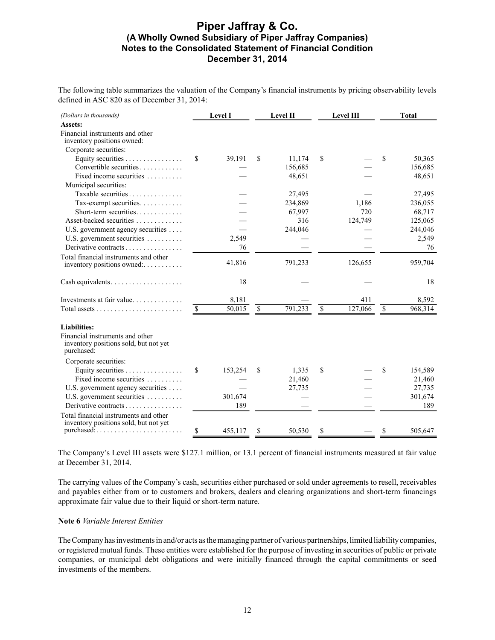The following table summarizes the valuation of the Company's financial instruments by pricing observability levels defined in ASC 820 as of December 31, 2014:

| (Dollars in thousands)                                                                 |                           | Level I |              | Level II |      | Level III |              | <b>Total</b> |
|----------------------------------------------------------------------------------------|---------------------------|---------|--------------|----------|------|-----------|--------------|--------------|
| Assets:                                                                                |                           |         |              |          |      |           |              |              |
| Financial instruments and other<br>inventory positions owned:                          |                           |         |              |          |      |           |              |              |
| Corporate securities:                                                                  |                           |         |              |          |      |           |              |              |
| Equity securities                                                                      | S                         | 39,191  | \$           | 11,174   | \$   |           | S            | 50,365       |
| Convertible securities                                                                 |                           |         |              | 156,685  |      |           |              | 156,685      |
| Fixed income securities $\ldots$                                                       |                           |         |              | 48,651   |      |           |              | 48,651       |
| Municipal securities:                                                                  |                           |         |              |          |      |           |              |              |
| Taxable securities                                                                     |                           |         |              | 27,495   |      |           |              | 27,495       |
| Tax-exempt securities                                                                  |                           |         |              | 234,869  |      | 1,186     |              | 236,055      |
| Short-term securities                                                                  |                           |         |              | 67,997   |      | 720       |              | 68,717       |
| Asset-backed securities                                                                |                           |         |              | 316      |      | 124,749   |              | 125,065      |
| U.S. government agency securities                                                      |                           |         |              | 244,046  |      |           |              | 244,046      |
| U.S. government securities                                                             |                           | 2,549   |              |          |      |           |              | 2,549        |
| Derivative contracts                                                                   |                           | 76      |              |          |      |           |              | 76           |
| Total financial instruments and other                                                  |                           |         |              |          |      |           |              |              |
| inventory positions owned:                                                             |                           | 41,816  |              | 791,233  |      | 126,655   |              | 959,704      |
|                                                                                        |                           | 18      |              |          |      |           |              | 18           |
| Investments at fair value                                                              |                           | 8,181   |              |          |      | 411       |              | 8,592        |
|                                                                                        | $\boldsymbol{\mathsf{S}}$ | 50,015  | $\mathbb{S}$ | 791,233  | $\$$ | 127,066   | $\mathbb{S}$ | 968,314      |
| <b>Liabilities:</b>                                                                    |                           |         |              |          |      |           |              |              |
| Financial instruments and other<br>inventory positions sold, but not yet<br>purchased: |                           |         |              |          |      |           |              |              |
| Corporate securities:                                                                  |                           |         |              |          |      |           |              |              |
| Equity securities                                                                      | \$                        | 153,254 | \$           | 1,335    | \$   |           | \$           | 154,589      |
| Fixed income securities                                                                |                           |         |              | 21,460   |      |           |              | 21,460       |
| U.S. government agency securities                                                      |                           |         |              | 27,735   |      |           |              | 27,735       |
| U.S. government securities                                                             |                           | 301,674 |              |          |      |           |              | 301,674      |
| Derivative contracts                                                                   |                           | 189     |              |          |      |           |              | 189          |
| Total financial instruments and other                                                  |                           |         |              |          |      |           |              |              |
| inventory positions sold, but not yet                                                  |                           |         |              |          |      |           |              |              |
| $pure based: \ldots \ldots \ldots \ldots \ldots \ldots$                                | S                         | 455,117 | S            | 50,530   | \$   |           | S            | 505,647      |

The Company's Level III assets were \$127.1 million, or 13.1 percent of financial instruments measured at fair value at December 31, 2014.

The carrying values of the Company's cash, securities either purchased or sold under agreements to resell, receivables and payables either from or to customers and brokers, dealers and clearing organizations and short-term financings approximate fair value due to their liquid or short-term nature.

### **Note 6** *Variable Interest Entities*

The Company has investments in and/or acts as the managing partner of various partnerships, limited liability companies, or registered mutual funds. These entities were established for the purpose of investing in securities of public or private companies, or municipal debt obligations and were initially financed through the capital commitments or seed investments of the members.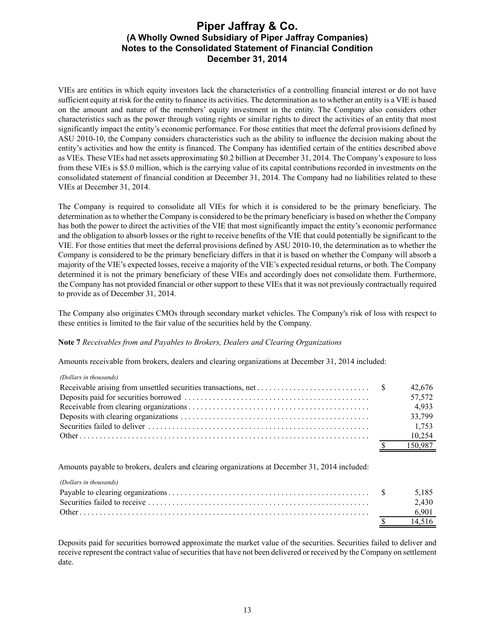VIEs are entities in which equity investors lack the characteristics of a controlling financial interest or do not have sufficient equity at risk for the entity to finance its activities. The determination as to whether an entity is a VIE is based on the amount and nature of the members' equity investment in the entity. The Company also considers other characteristics such as the power through voting rights or similar rights to direct the activities of an entity that most significantly impact the entity's economic performance. For those entities that meet the deferral provisions defined by ASU 2010-10, the Company considers characteristics such as the ability to influence the decision making about the entity's activities and how the entity is financed. The Company has identified certain of the entities described above as VIEs. These VIEs had net assets approximating \$0.2 billion at December 31, 2014. The Company's exposure to loss from these VIEs is \$5.0 million, which is the carrying value of its capital contributions recorded in investments on the consolidated statement of financial condition at December 31, 2014. The Company had no liabilities related to these VIEs at December 31, 2014.

The Company is required to consolidate all VIEs for which it is considered to be the primary beneficiary. The determination as to whether the Company is considered to be the primary beneficiary is based on whether the Company has both the power to direct the activities of the VIE that most significantly impact the entity's economic performance and the obligation to absorb losses or the right to receive benefits of the VIE that could potentially be significant to the VIE. For those entities that meet the deferral provisions defined by ASU 2010-10, the determination as to whether the Company is considered to be the primary beneficiary differs in that it is based on whether the Company will absorb a majority of the VIE's expected losses, receive a majority of the VIE's expected residual returns, or both. The Company determined it is not the primary beneficiary of these VIEs and accordingly does not consolidate them. Furthermore, the Company has not provided financial or other support to these VIEs that it was not previously contractually required to provide as of December 31, 2014.

The Company also originates CMOs through secondary market vehicles. The Company's risk of loss with respect to these entities is limited to the fair value of the securities held by the Company.

### **Note 7** *Receivables from and Payables to Brokers, Dealers and Clearing Organizations*

Amounts receivable from brokers, dealers and clearing organizations at December 31, 2014 included:

#### *(Dollars in thousands)*

|  | 42,676  |
|--|---------|
|  | 57,572  |
|  | 4.933   |
|  | 33,799  |
|  | 1.753   |
|  | 10.254  |
|  | 150.987 |

Amounts payable to brokers, dealers and clearing organizations at December 31, 2014 included:

*(Dollars in thousands)*

|  | 2.430 |
|--|-------|
|  |       |
|  |       |

Deposits paid for securities borrowed approximate the market value of the securities. Securities failed to deliver and receive represent the contract value of securities that have not been delivered or received by the Company on settlement date.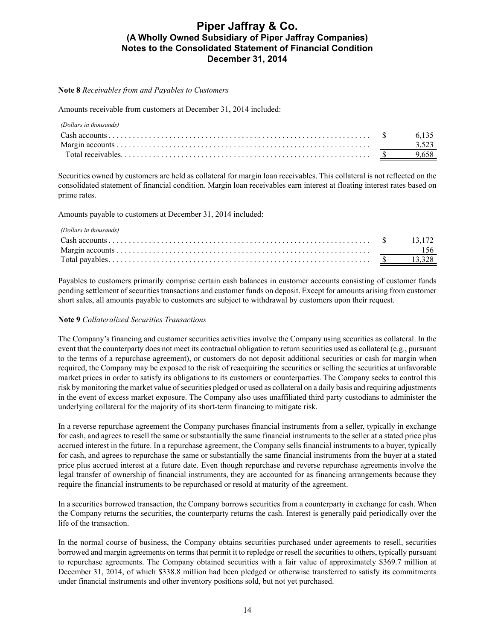### **Note 8** *Receivables from and Payables to Customers*

Amounts receivable from customers at December 31, 2014 included:

| (Dollars in thousands) |      |
|------------------------|------|
|                        | 6135 |
|                        |      |
|                        |      |

Securities owned by customers are held as collateral for margin loan receivables. This collateral is not reflected on the consolidated statement of financial condition. Margin loan receivables earn interest at floating interest rates based on prime rates.

Amounts payable to customers at December 31, 2014 included:

| (Dollars in thousands) |  |
|------------------------|--|
|                        |  |
|                        |  |
|                        |  |

Payables to customers primarily comprise certain cash balances in customer accounts consisting of customer funds pending settlement of securities transactions and customer funds on deposit. Except for amounts arising from customer short sales, all amounts payable to customers are subject to withdrawal by customers upon their request.

### **Note 9** *Collateralized Securities Transactions*

The Company's financing and customer securities activities involve the Company using securities as collateral. In the event that the counterparty does not meet its contractual obligation to return securities used as collateral (e.g., pursuant to the terms of a repurchase agreement), or customers do not deposit additional securities or cash for margin when required, the Company may be exposed to the risk of reacquiring the securities or selling the securities at unfavorable market prices in order to satisfy its obligations to its customers or counterparties. The Company seeks to control this risk by monitoring the market value of securities pledged or used as collateral on a daily basis and requiring adjustments in the event of excess market exposure. The Company also uses unaffiliated third party custodians to administer the underlying collateral for the majority of its short-term financing to mitigate risk.

In a reverse repurchase agreement the Company purchases financial instruments from a seller, typically in exchange for cash, and agrees to resell the same or substantially the same financial instruments to the seller at a stated price plus accrued interest in the future. In a repurchase agreement, the Company sells financial instruments to a buyer, typically for cash, and agrees to repurchase the same or substantially the same financial instruments from the buyer at a stated price plus accrued interest at a future date. Even though repurchase and reverse repurchase agreements involve the legal transfer of ownership of financial instruments, they are accounted for as financing arrangements because they require the financial instruments to be repurchased or resold at maturity of the agreement.

In a securities borrowed transaction, the Company borrows securities from a counterparty in exchange for cash. When the Company returns the securities, the counterparty returns the cash. Interest is generally paid periodically over the life of the transaction.

In the normal course of business, the Company obtains securities purchased under agreements to resell, securities borrowed and margin agreements on terms that permit it to repledge or resell the securities to others, typically pursuant to repurchase agreements. The Company obtained securities with a fair value of approximately \$369.7 million at December 31, 2014, of which \$338.8 million had been pledged or otherwise transferred to satisfy its commitments under financial instruments and other inventory positions sold, but not yet purchased.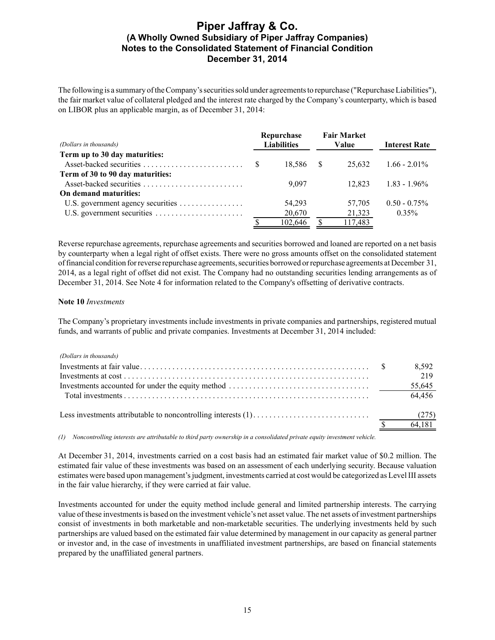The following is a summary of the Company's securities sold under agreements to repurchase ("Repurchase Liabilities"), the fair market value of collateral pledged and the interest rate charged by the Company's counterparty, which is based on LIBOR plus an applicable margin, as of December 31, 2014:

|                                   | Repurchase |                    | <b>Fair Market</b> |         |                 |  |  |       |                      |  |
|-----------------------------------|------------|--------------------|--------------------|---------|-----------------|--|--|-------|----------------------|--|
| (Dollars in thousands)            |            | <b>Liabilities</b> |                    |         |                 |  |  | Value | <b>Interest Rate</b> |  |
| Term up to 30 day maturities:     |            |                    |                    |         |                 |  |  |       |                      |  |
| Asset-backed securities           | -S         | 18.586 \$          |                    | 25.632  | $1.66 - 2.01\%$ |  |  |       |                      |  |
| Term of 30 to 90 day maturities:  |            |                    |                    |         |                 |  |  |       |                      |  |
| Asset-backed securities           |            | 9.097              |                    | 12.823  | $1.83 - 1.96\%$ |  |  |       |                      |  |
| On demand maturities:             |            |                    |                    |         |                 |  |  |       |                      |  |
| U.S. government agency securities |            | 54,293             |                    | 57,705  | $0.50 - 0.75\%$ |  |  |       |                      |  |
|                                   |            | 20,670             |                    | 21,323  | $0.35\%$        |  |  |       |                      |  |
|                                   |            | 102.646            |                    | 117,483 |                 |  |  |       |                      |  |

Reverse repurchase agreements, repurchase agreements and securities borrowed and loaned are reported on a net basis by counterparty when a legal right of offset exists. There were no gross amounts offset on the consolidated statement of financial condition for reverse repurchase agreements, securities borrowed or repurchase agreements at December 31, 2014, as a legal right of offset did not exist. The Company had no outstanding securities lending arrangements as of December 31, 2014. See Note 4 for information related to the Company's offsetting of derivative contracts.

### **Note 10** *Investments*

The Company's proprietary investments include investments in private companies and partnerships, registered mutual funds, and warrants of public and private companies. Investments at December 31, 2014 included:

| (Dollars in thousands) |        |
|------------------------|--------|
|                        | 8,592  |
|                        | 219    |
|                        | 55,645 |
|                        | 64.456 |
|                        |        |
|                        | 64,181 |
|                        |        |

*(1) Noncontrolling interests are attributable to third party ownership in a consolidated private equity investment vehicle.*

At December 31, 2014, investments carried on a cost basis had an estimated fair market value of \$0.2 million. The estimated fair value of these investments was based on an assessment of each underlying security. Because valuation estimates were based upon management's judgment, investments carried at cost would be categorized as Level III assets in the fair value hierarchy, if they were carried at fair value.

Investments accounted for under the equity method include general and limited partnership interests. The carrying value of these investments is based on the investment vehicle's net asset value. The net assets of investment partnerships consist of investments in both marketable and non-marketable securities. The underlying investments held by such partnerships are valued based on the estimated fair value determined by management in our capacity as general partner or investor and, in the case of investments in unaffiliated investment partnerships, are based on financial statements prepared by the unaffiliated general partners.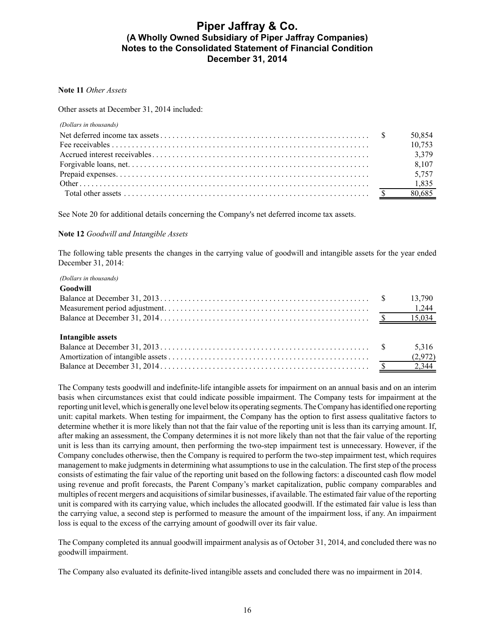### **Note 11** *Other Assets*

Other assets at December 31, 2014 included:

| (Dollars in thousands) |        |
|------------------------|--------|
|                        | 50,854 |
|                        | 10,753 |
|                        |        |
|                        |        |
|                        | 5,757  |
|                        |        |
|                        |        |

See Note 20 for additional details concerning the Company's net deferred income tax assets.

### **Note 12** *Goodwill and Intangible Assets*

The following table presents the changes in the carrying value of goodwill and intangible assets for the year ended December 31, 2014:

#### *(Dollars in thousands)*

| Goodwill          |                  |
|-------------------|------------------|
|                   |                  |
|                   |                  |
|                   |                  |
| Intangible assets | 5,316<br>(2,972) |

The Company tests goodwill and indefinite-life intangible assets for impairment on an annual basis and on an interim basis when circumstances exist that could indicate possible impairment. The Company tests for impairment at the reporting unit level, which is generally one level below its operating segments. The Company has identified one reporting unit: capital markets. When testing for impairment, the Company has the option to first assess qualitative factors to determine whether it is more likely than not that the fair value of the reporting unit is less than its carrying amount. If, after making an assessment, the Company determines it is not more likely than not that the fair value of the reporting unit is less than its carrying amount, then performing the two-step impairment test is unnecessary. However, if the Company concludes otherwise, then the Company is required to perform the two-step impairment test, which requires management to make judgments in determining what assumptions to use in the calculation. The first step of the process consists of estimating the fair value of the reporting unit based on the following factors: a discounted cash flow model using revenue and profit forecasts, the Parent Company's market capitalization, public company comparables and multiples of recent mergers and acquisitions of similar businesses, if available. The estimated fair value of the reporting unit is compared with its carrying value, which includes the allocated goodwill. If the estimated fair value is less than the carrying value, a second step is performed to measure the amount of the impairment loss, if any. An impairment loss is equal to the excess of the carrying amount of goodwill over its fair value.

The Company completed its annual goodwill impairment analysis as of October 31, 2014, and concluded there was no goodwill impairment.

The Company also evaluated its definite-lived intangible assets and concluded there was no impairment in 2014.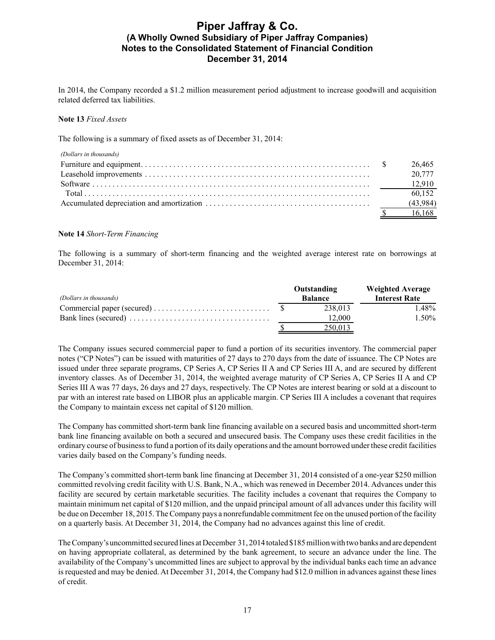In 2014, the Company recorded a \$1.2 million measurement period adjustment to increase goodwill and acquisition related deferred tax liabilities.

### **Note 13** *Fixed Assets*

The following is a summary of fixed assets as of December 31, 2014:

| (Dollars in thousands) |          |
|------------------------|----------|
|                        | 26.465   |
|                        | 20.777   |
|                        |          |
|                        | 60.152   |
|                        | (43,984) |
|                        | 16.168   |

### **Note 14** *Short-Term Financing*

The following is a summary of short-term financing and the weighted average interest rate on borrowings at December 31, 2014:

|                                                                                          | Outstanding    | <b>Weighted Average</b> |
|------------------------------------------------------------------------------------------|----------------|-------------------------|
| (Dollars in thousands)                                                                   | <b>Balance</b> | <b>Interest Rate</b>    |
|                                                                                          | 238.013        | 1.48%                   |
| Bank lines (secured) $\dots \dots \dots \dots \dots \dots \dots \dots \dots \dots \dots$ | 12.000         | $1.50\%$                |
|                                                                                          | 250.013        |                         |

The Company issues secured commercial paper to fund a portion of its securities inventory. The commercial paper notes ("CP Notes") can be issued with maturities of 27 days to 270 days from the date of issuance. The CP Notes are issued under three separate programs, CP Series A, CP Series II A and CP Series III A, and are secured by different inventory classes. As of December 31, 2014, the weighted average maturity of CP Series A, CP Series II A and CP Series III A was 77 days, 26 days and 27 days, respectively. The CP Notes are interest bearing or sold at a discount to par with an interest rate based on LIBOR plus an applicable margin. CP Series III A includes a covenant that requires the Company to maintain excess net capital of \$120 million.

The Company has committed short-term bank line financing available on a secured basis and uncommitted short-term bank line financing available on both a secured and unsecured basis. The Company uses these credit facilities in the ordinary course of business to fund a portion of its daily operations and the amount borrowed under these credit facilities varies daily based on the Company's funding needs.

The Company's committed short-term bank line financing at December 31, 2014 consisted of a one-year \$250 million committed revolving credit facility with U.S. Bank, N.A., which was renewed in December 2014. Advances under this facility are secured by certain marketable securities. The facility includes a covenant that requires the Company to maintain minimum net capital of \$120 million, and the unpaid principal amount of all advances under this facility will be due on December 18, 2015. The Company pays a nonrefundable commitment fee on the unused portion of the facility on a quarterly basis. At December 31, 2014, the Company had no advances against this line of credit.

The Company's uncommitted secured lines at December 31, 2014 totaled \$185 millionwith two banks and are dependent on having appropriate collateral, as determined by the bank agreement, to secure an advance under the line. The availability of the Company's uncommitted lines are subject to approval by the individual banks each time an advance is requested and may be denied. At December 31, 2014, the Company had \$12.0 million in advances against these lines of credit.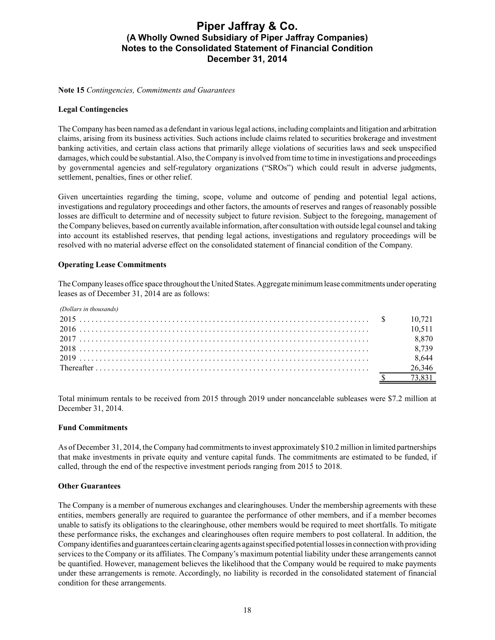**Note 15** *Contingencies, Commitments and Guarantees*

### **Legal Contingencies**

The Company has been named as a defendant in various legal actions, including complaints and litigation and arbitration claims, arising from its business activities. Such actions include claims related to securities brokerage and investment banking activities, and certain class actions that primarily allege violations of securities laws and seek unspecified damages, which could be substantial. Also, the Company is involved from time to time in investigations and proceedings by governmental agencies and self-regulatory organizations ("SROs") which could result in adverse judgments, settlement, penalties, fines or other relief.

Given uncertainties regarding the timing, scope, volume and outcome of pending and potential legal actions, investigations and regulatory proceedings and other factors, the amounts of reserves and ranges of reasonably possible losses are difficult to determine and of necessity subject to future revision. Subject to the foregoing, management of the Company believes, based on currently available information, after consultation with outside legal counsel and taking into account its established reserves, that pending legal actions, investigations and regulatory proceedings will be resolved with no material adverse effect on the consolidated statement of financial condition of the Company.

### **Operating Lease Commitments**

The Company leases office space throughout the United States. Aggregate minimum lease commitments under operating leases as of December 31, 2014 are as follows:

| (Dollars in thousands) |        |
|------------------------|--------|
|                        |        |
|                        | 10.511 |
|                        | 8.870  |
|                        | 8,739  |
|                        | 8,644  |
|                        | 26.346 |
|                        | 73 831 |

Total minimum rentals to be received from 2015 through 2019 under noncancelable subleases were \$7.2 million at December 31, 2014.

### **Fund Commitments**

As of December 31, 2014, the Company had commitments to invest approximately \$10.2 million in limited partnerships that make investments in private equity and venture capital funds. The commitments are estimated to be funded, if called, through the end of the respective investment periods ranging from 2015 to 2018.

#### **Other Guarantees**

The Company is a member of numerous exchanges and clearinghouses. Under the membership agreements with these entities, members generally are required to guarantee the performance of other members, and if a member becomes unable to satisfy its obligations to the clearinghouse, other members would be required to meet shortfalls. To mitigate these performance risks, the exchanges and clearinghouses often require members to post collateral. In addition, the Company identifies and guarantees certain clearing agents against specified potential losses in connection with providing services to the Company or its affiliates. The Company's maximum potential liability under these arrangements cannot be quantified. However, management believes the likelihood that the Company would be required to make payments under these arrangements is remote. Accordingly, no liability is recorded in the consolidated statement of financial condition for these arrangements.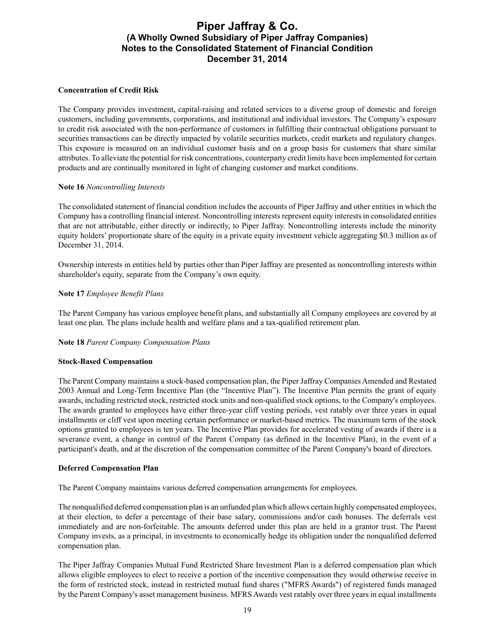### **Concentration of Credit Risk**

The Company provides investment, capital-raising and related services to a diverse group of domestic and foreign customers, including governments, corporations, and institutional and individual investors. The Company's exposure to credit risk associated with the non-performance of customers in fulfilling their contractual obligations pursuant to securities transactions can be directly impacted by volatile securities markets, credit markets and regulatory changes. This exposure is measured on an individual customer basis and on a group basis for customers that share similar attributes. To alleviate the potential for risk concentrations, counterparty credit limits have been implemented for certain products and are continually monitored in light of changing customer and market conditions.

### **Note 16** *Noncontrolling Interests*

The consolidated statement of financial condition includes the accounts of Piper Jaffray and other entities in which the Company has a controlling financial interest. Noncontrolling interests represent equity interests in consolidated entities that are not attributable, either directly or indirectly, to Piper Jaffray. Noncontrolling interests include the minority equity holders' proportionate share of the equity in a private equity investment vehicle aggregating \$0.3 million as of December 31, 2014.

Ownership interests in entities held by parties other than Piper Jaffray are presented as noncontrolling interests within shareholder's equity, separate from the Company's own equity.

### **Note 17** *Employee Benefit Plans*

The Parent Company has various employee benefit plans, and substantially all Company employees are covered by at least one plan. The plans include health and welfare plans and a tax-qualified retirement plan.

### **Note 18** *Parent Company Compensation Plans*

#### **Stock-Based Compensation**

The Parent Company maintains a stock-based compensation plan, the Piper Jaffray Companies Amended and Restated 2003 Annual and Long-Term Incentive Plan (the "Incentive Plan"). The Incentive Plan permits the grant of equity awards, including restricted stock, restricted stock units and non-qualified stock options, to the Company's employees. The awards granted to employees have either three-year cliff vesting periods, vest ratably over three years in equal installments or cliff vest upon meeting certain performance or market-based metrics. The maximum term of the stock options granted to employees is ten years. The Incentive Plan provides for accelerated vesting of awards if there is a severance event, a change in control of the Parent Company (as defined in the Incentive Plan), in the event of a participant's death, and at the discretion of the compensation committee of the Parent Company's board of directors.

#### **Deferred Compensation Plan**

The Parent Company maintains various deferred compensation arrangements for employees.

The nonqualified deferred compensation plan is an unfunded plan which allows certain highly compensated employees, at their election, to defer a percentage of their base salary, commissions and/or cash bonuses. The deferrals vest immediately and are non-forfeitable. The amounts deferred under this plan are held in a grantor trust. The Parent Company invests, as a principal, in investments to economically hedge its obligation under the nonqualified deferred compensation plan.

The Piper Jaffray Companies Mutual Fund Restricted Share Investment Plan is a deferred compensation plan which allows eligible employees to elect to receive a portion of the incentive compensation they would otherwise receive in the form of restricted stock, instead in restricted mutual fund shares ("MFRS Awards") of registered funds managed by the Parent Company's asset management business. MFRS Awards vest ratably over three years in equal installments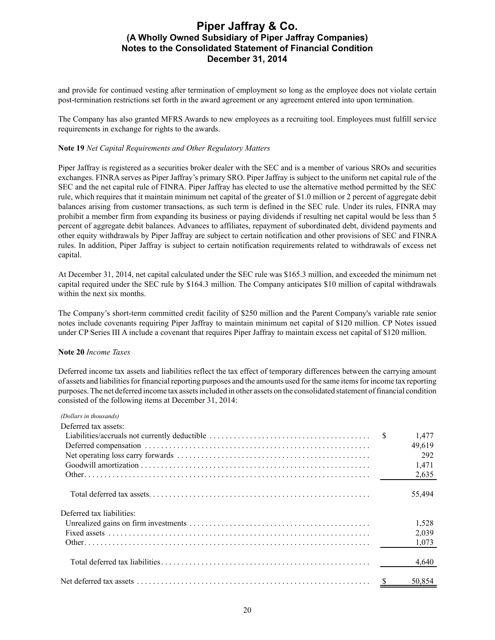and provide for continued vesting after termination of employment so long as the employee does not violate certain post-termination restrictions set forth in the award agreement or any agreement entered into upon termination.

The Company has also granted MFRS Awards to new employees as a recruiting tool. Employees must fulfill service requirements in exchange for rights to the awards.

### **Note 19** *Net Capital Requirements and Other Regulatory Matters*

Piper Jaffray is registered as a securities broker dealer with the SEC and is a member of various SROs and securities exchanges. FINRA serves as Piper Jaffray's primary SRO. Piper Jaffray is subject to the uniform net capital rule of the SEC and the net capital rule of FINRA. Piper Jaffray has elected to use the alternative method permitted by the SEC rule, which requires that it maintain minimum net capital of the greater of \$1.0 million or 2 percent of aggregate debit balances arising from customer transactions, as such term is defined in the SEC rule. Under its rules, FINRA may prohibit a member firm from expanding its business or paying dividends if resulting net capital would be less than 5 percent of aggregate debit balances. Advances to affiliates, repayment of subordinated debt, dividend payments and other equity withdrawals by Piper Jaffray are subject to certain notification and other provisions of SEC and FINRA rules. In addition, Piper Jaffray is subject to certain notification requirements related to withdrawals of excess net capital.

At December 31, 2014, net capital calculated under the SEC rule was \$165.3 million, and exceeded the minimum net capital required under the SEC rule by \$164.3 million. The Company anticipates \$10 million of capital withdrawals within the next six months.

The Company's short-term committed credit facility of \$250 million and the Parent Company's variable rate senior notes include covenants requiring Piper Jaffray to maintain minimum net capital of \$120 million. CP Notes issued under CP Series III A include a covenant that requires Piper Jaffray to maintain excess net capital of \$120 million.

#### **Note 20** *Income Taxes*

Deferred income tax assets and liabilities reflect the tax effect of temporary differences between the carrying amount of assets and liabilities for financial reporting purposes and the amounts used for the same items for income tax reporting purposes. The net deferred income tax assets included in other assets on the consolidated statement of financial condition consisted of the following items at December 31, 2014:

| (Dollars in thousands)    |        |
|---------------------------|--------|
| Deferred tax assets:      |        |
|                           | 1,477  |
|                           | 49,619 |
|                           | 292    |
|                           | 1,471  |
|                           | 2,635  |
|                           | 55,494 |
| Deferred tax liabilities: |        |
|                           | 1,528  |
|                           | 2,039  |
|                           | 1,073  |
|                           | 4,640  |
|                           | 50.854 |